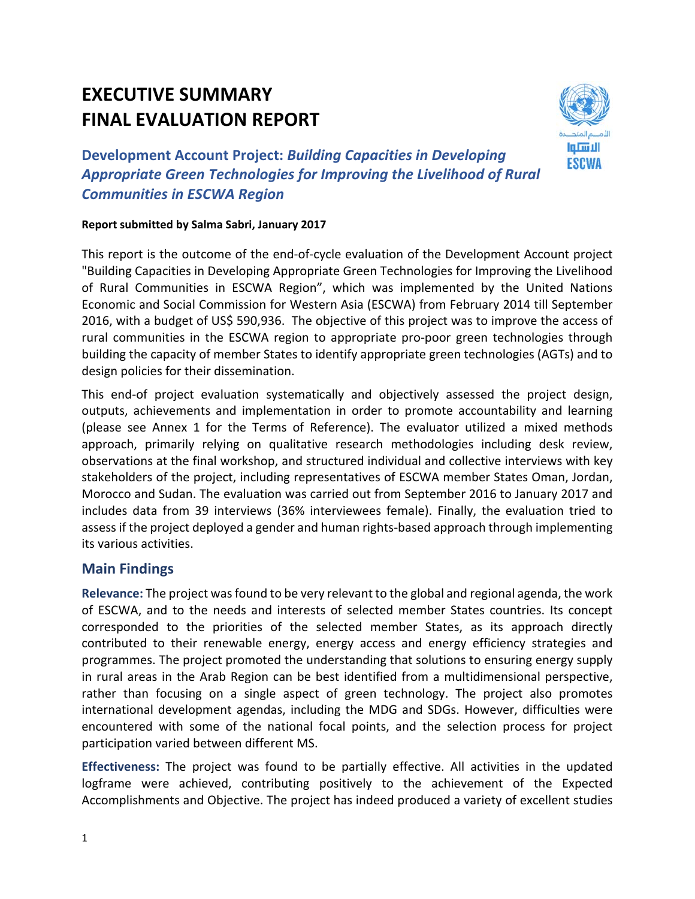# **EXECUTIVE SUMMARY FINAL EVALUATION REPORT**



**Development Account Project:** *Building Capacities in Developing Appropriate Green Technologies for Improving the Livelihood of Rural Communities in ESCWA Region*

#### **Report submitted by Salma Sabri, January 2017**

This report is the outcome of the end-of-cycle evaluation of the Development Account project "Building Capacities in Developing Appropriate Green Technologies for Improving the Livelihood of Rural Communities in ESCWA Region", which was implemented by the United Nations Economic and Social Commission for Western Asia (ESCWA) from February 2014 till September 2016, with a budget of US\$ 590,936. The objective of this project was to improve the access of rural communities in the ESCWA region to appropriate pro-poor green technologies through building the capacity of member States to identify appropriate green technologies (AGTs) and to design policies for their dissemination.

This end‐of project evaluation systematically and objectively assessed the project design, outputs, achievements and implementation in order to promote accountability and learning (please see Annex 1 for the Terms of Reference). The evaluator utilized a mixed methods approach, primarily relying on qualitative research methodologies including desk review, observations at the final workshop, and structured individual and collective interviews with key stakeholders of the project, including representatives of ESCWA member States Oman, Jordan, Morocco and Sudan. The evaluation was carried out from September 2016 to January 2017 and includes data from 39 interviews (36% interviewees female). Finally, the evaluation tried to assess if the project deployed a gender and human rights‐based approach through implementing its various activities.

## **Main Findings**

Relevance: The project was found to be very relevant to the global and regional agenda, the work of ESCWA, and to the needs and interests of selected member States countries. Its concept corresponded to the priorities of the selected member States, as its approach directly contributed to their renewable energy, energy access and energy efficiency strategies and programmes. The project promoted the understanding that solutions to ensuring energy supply in rural areas in the Arab Region can be best identified from a multidimensional perspective, rather than focusing on a single aspect of green technology. The project also promotes international development agendas, including the MDG and SDGs. However, difficulties were encountered with some of the national focal points, and the selection process for project participation varied between different MS.

**Effectiveness:** The project was found to be partially effective. All activities in the updated logframe were achieved, contributing positively to the achievement of the Expected Accomplishments and Objective. The project has indeed produced a variety of excellent studies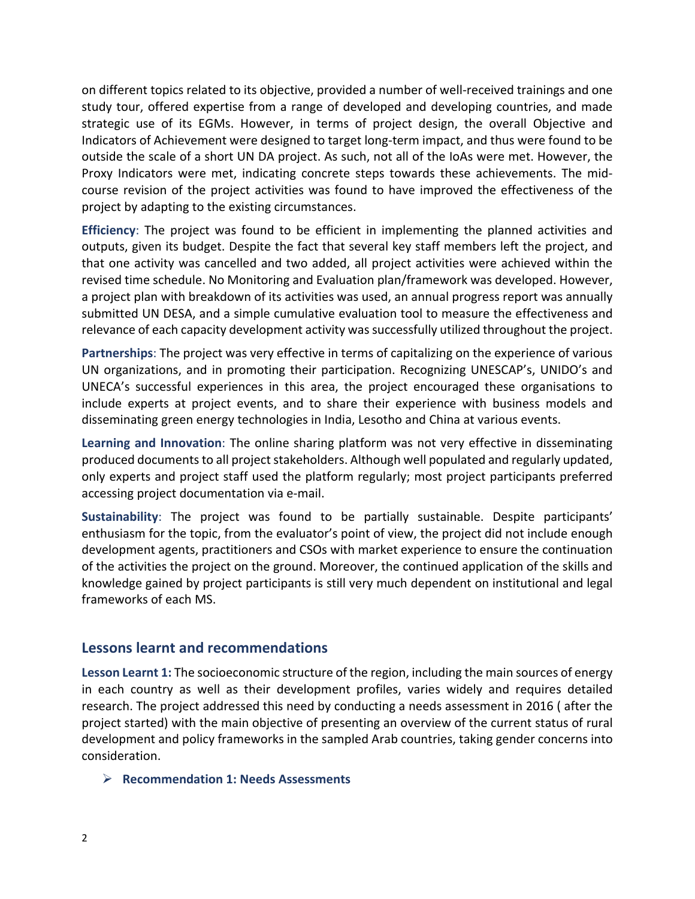on different topics related to its objective, provided a number of well‐received trainings and one study tour, offered expertise from a range of developed and developing countries, and made strategic use of its EGMs. However, in terms of project design, the overall Objective and Indicators of Achievement were designed to target long‐term impact, and thus were found to be outside the scale of a short UN DA project. As such, not all of the IoAs were met. However, the Proxy Indicators were met, indicating concrete steps towards these achievements. The mid‐ course revision of the project activities was found to have improved the effectiveness of the project by adapting to the existing circumstances.

**Efficiency**: The project was found to be efficient in implementing the planned activities and outputs, given its budget. Despite the fact that several key staff members left the project, and that one activity was cancelled and two added, all project activities were achieved within the revised time schedule. No Monitoring and Evaluation plan/framework was developed. However, a project plan with breakdown of its activities was used, an annual progress report was annually submitted UN DESA, and a simple cumulative evaluation tool to measure the effectiveness and relevance of each capacity development activity was successfully utilized throughout the project.

**Partnerships**: The project was very effective in terms of capitalizing on the experience of various UN organizations, and in promoting their participation. Recognizing UNESCAP's, UNIDO's and UNECA's successful experiences in this area, the project encouraged these organisations to include experts at project events, and to share their experience with business models and disseminating green energy technologies in India, Lesotho and China at various events.

**Learning and Innovation**: The online sharing platform was not very effective in disseminating produced documents to all project stakeholders. Although well populated and regularly updated, only experts and project staff used the platform regularly; most project participants preferred accessing project documentation via e‐mail.

**Sustainability**: The project was found to be partially sustainable. Despite participants' enthusiasm for the topic, from the evaluator's point of view, the project did not include enough development agents, practitioners and CSOs with market experience to ensure the continuation of the activities the project on the ground. Moreover, the continued application of the skills and knowledge gained by project participants is still very much dependent on institutional and legal frameworks of each MS.

## **Lessons learnt and recommendations**

**Lesson Learnt 1:** The socioeconomic structure of the region, including the main sources of energy in each country as well as their development profiles, varies widely and requires detailed research. The project addressed this need by conducting a needs assessment in 2016 ( after the project started) with the main objective of presenting an overview of the current status of rural development and policy frameworks in the sampled Arab countries, taking gender concerns into consideration.

#### **Recommendation 1: Needs Assessments**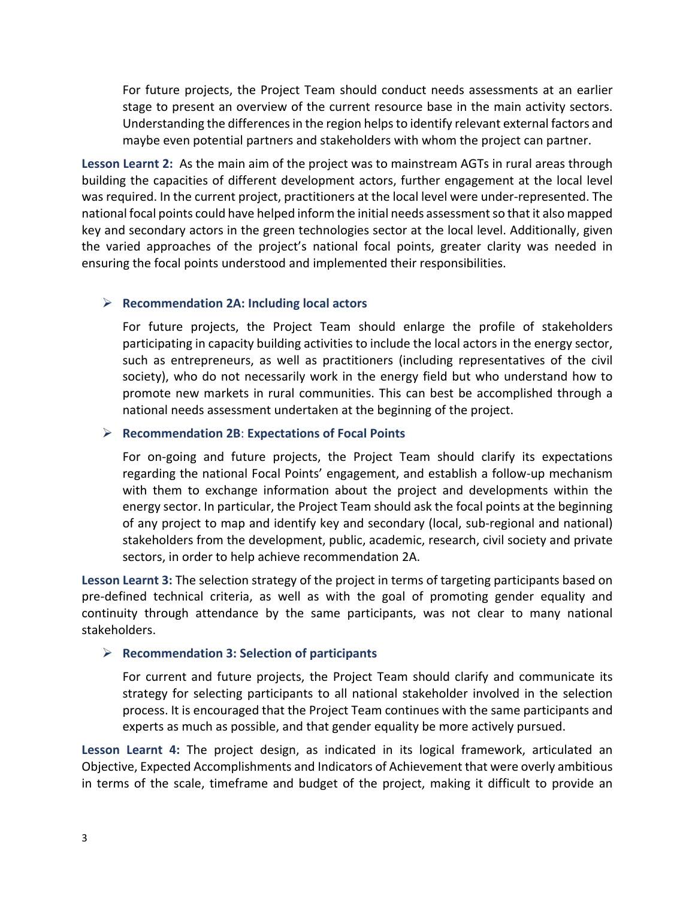For future projects, the Project Team should conduct needs assessments at an earlier stage to present an overview of the current resource base in the main activity sectors. Understanding the differences in the region helps to identify relevant external factors and maybe even potential partners and stakeholders with whom the project can partner.

**Lesson Learnt 2:** As the main aim of the project was to mainstream AGTs in rural areas through building the capacities of different development actors, further engagement at the local level was required. In the current project, practitioners at the local level were under‐represented. The national focal points could have helped inform the initial needs assessmentso that it also mapped key and secondary actors in the green technologies sector at the local level. Additionally, given the varied approaches of the project's national focal points, greater clarity was needed in ensuring the focal points understood and implemented their responsibilities.

#### **Recommendation 2A: Including local actors**

For future projects, the Project Team should enlarge the profile of stakeholders participating in capacity building activities to include the local actors in the energy sector, such as entrepreneurs, as well as practitioners (including representatives of the civil society), who do not necessarily work in the energy field but who understand how to promote new markets in rural communities. This can best be accomplished through a national needs assessment undertaken at the beginning of the project.

#### **Recommendation 2B**: **Expectations of Focal Points**

For on‐going and future projects, the Project Team should clarify its expectations regarding the national Focal Points' engagement, and establish a follow‐up mechanism with them to exchange information about the project and developments within the energy sector. In particular, the Project Team should ask the focal points at the beginning of any project to map and identify key and secondary (local, sub‐regional and national) stakeholders from the development, public, academic, research, civil society and private sectors, in order to help achieve recommendation 2A.

**Lesson Learnt 3:** The selection strategy of the project in terms of targeting participants based on pre‐defined technical criteria, as well as with the goal of promoting gender equality and continuity through attendance by the same participants, was not clear to many national stakeholders.

## **Recommendation 3: Selection of participants**

For current and future projects, the Project Team should clarify and communicate its strategy for selecting participants to all national stakeholder involved in the selection process. It is encouraged that the Project Team continues with the same participants and experts as much as possible, and that gender equality be more actively pursued.

**Lesson Learnt 4:** The project design, as indicated in its logical framework, articulated an Objective, Expected Accomplishments and Indicators of Achievement that were overly ambitious in terms of the scale, timeframe and budget of the project, making it difficult to provide an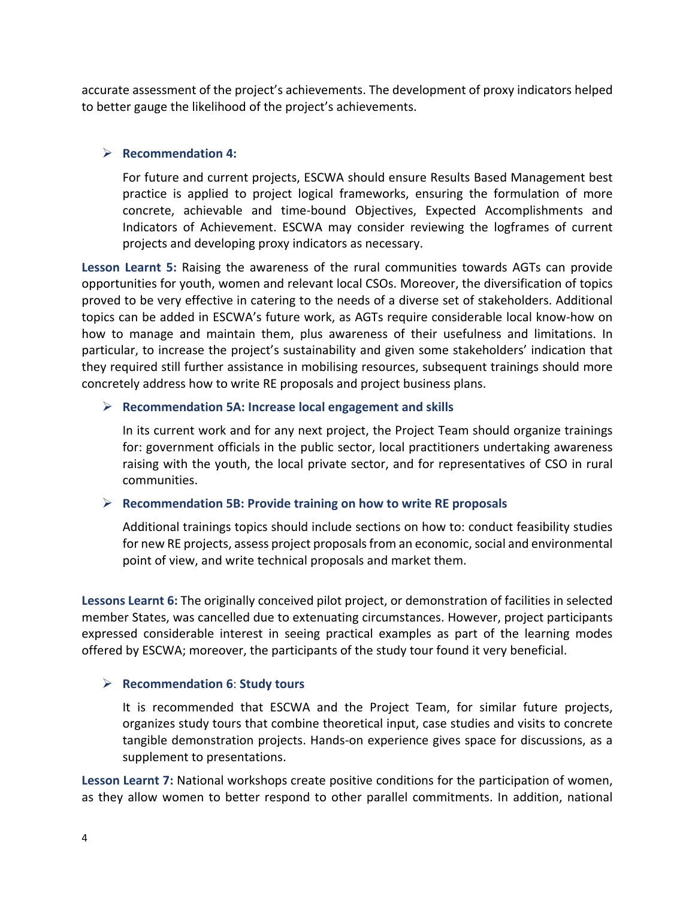accurate assessment of the project's achievements. The development of proxy indicators helped to better gauge the likelihood of the project's achievements.

#### **Recommendation 4:**

For future and current projects, ESCWA should ensure Results Based Management best practice is applied to project logical frameworks, ensuring the formulation of more concrete, achievable and time‐bound Objectives, Expected Accomplishments and Indicators of Achievement. ESCWA may consider reviewing the logframes of current projects and developing proxy indicators as necessary.

**Lesson Learnt 5:** Raising the awareness of the rural communities towards AGTs can provide opportunities for youth, women and relevant local CSOs. Moreover, the diversification of topics proved to be very effective in catering to the needs of a diverse set of stakeholders. Additional topics can be added in ESCWA's future work, as AGTs require considerable local know‐how on how to manage and maintain them, plus awareness of their usefulness and limitations. In particular, to increase the project's sustainability and given some stakeholders' indication that they required still further assistance in mobilising resources, subsequent trainings should more concretely address how to write RE proposals and project business plans.

#### **Recommendation 5A: Increase local engagement and skills**

In its current work and for any next project, the Project Team should organize trainings for: government officials in the public sector, local practitioners undertaking awareness raising with the youth, the local private sector, and for representatives of CSO in rural communities.

#### **Recommendation 5B: Provide training on how to write RE proposals**

Additional trainings topics should include sections on how to: conduct feasibility studies for new RE projects, assess project proposals from an economic, social and environmental point of view, and write technical proposals and market them.

**Lessons Learnt 6:** The originally conceived pilot project, or demonstration of facilities in selected member States, was cancelled due to extenuating circumstances. However, project participants expressed considerable interest in seeing practical examples as part of the learning modes offered by ESCWA; moreover, the participants of the study tour found it very beneficial.

#### **Recommendation 6**: **Study tours**

It is recommended that ESCWA and the Project Team, for similar future projects, organizes study tours that combine theoretical input, case studies and visits to concrete tangible demonstration projects. Hands‐on experience gives space for discussions, as a supplement to presentations.

**Lesson Learnt 7:** National workshops create positive conditions for the participation of women, as they allow women to better respond to other parallel commitments. In addition, national